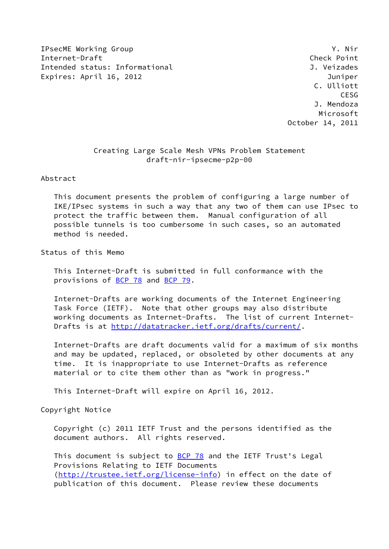IPsecME Working Group Y. Nir Internet-Draft Check Point Intended status: Informational and J. Veizades Expires: April 16, 2012 **Interpretate and Contact Contract Contact Contract Contact Contract Contract Contract** 

 C. Ulliott CESG J. Mendoza Microsoft October 14, 2011

# Creating Large Scale Mesh VPNs Problem Statement draft-nir-ipsecme-p2p-00

Abstract

 This document presents the problem of configuring a large number of IKE/IPsec systems in such a way that any two of them can use IPsec to protect the traffic between them. Manual configuration of all possible tunnels is too cumbersome in such cases, so an automated method is needed.

Status of this Memo

 This Internet-Draft is submitted in full conformance with the provisions of [BCP 78](https://datatracker.ietf.org/doc/pdf/bcp78) and [BCP 79](https://datatracker.ietf.org/doc/pdf/bcp79).

 Internet-Drafts are working documents of the Internet Engineering Task Force (IETF). Note that other groups may also distribute working documents as Internet-Drafts. The list of current Internet- Drafts is at<http://datatracker.ietf.org/drafts/current/>.

 Internet-Drafts are draft documents valid for a maximum of six months and may be updated, replaced, or obsoleted by other documents at any time. It is inappropriate to use Internet-Drafts as reference material or to cite them other than as "work in progress."

This Internet-Draft will expire on April 16, 2012.

Copyright Notice

 Copyright (c) 2011 IETF Trust and the persons identified as the document authors. All rights reserved.

This document is subject to **[BCP 78](https://datatracker.ietf.org/doc/pdf/bcp78)** and the IETF Trust's Legal Provisions Relating to IETF Documents [\(http://trustee.ietf.org/license-info](http://trustee.ietf.org/license-info)) in effect on the date of publication of this document. Please review these documents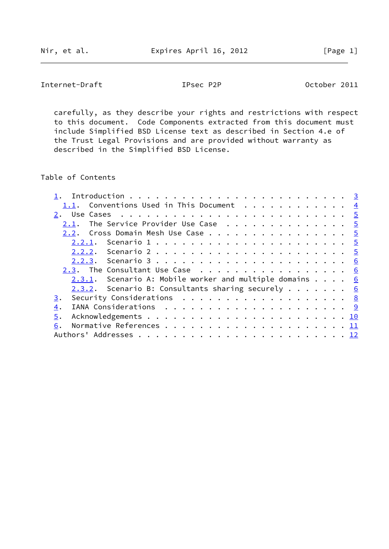Internet-Draft **IPsec P2P** October 2011

 carefully, as they describe your rights and restrictions with respect to this document. Code Components extracted from this document must include Simplified BSD License text as described in Section 4.e of the Trust Legal Provisions and are provided without warranty as described in the Simplified BSD License.

Table of Contents

| 1.1. Conventions Used in This Document $\frac{4}{3}$               |  |  |  |
|--------------------------------------------------------------------|--|--|--|
|                                                                    |  |  |  |
| The Service Provider Use Case $\cdots$ 5<br>2.1.                   |  |  |  |
| 2.2. Cross Domain Mesh Use Case 5                                  |  |  |  |
|                                                                    |  |  |  |
|                                                                    |  |  |  |
|                                                                    |  |  |  |
| 2.3. The Consultant Use Case 6                                     |  |  |  |
| 2.3.1. Scenario A: Mobile worker and multiple domains $\ldots$ . 6 |  |  |  |
| 2.3.2. Scenario B: Consultants sharing securely $6$                |  |  |  |
| Security Considerations 8<br>3.                                    |  |  |  |
| 4.                                                                 |  |  |  |
| 5.                                                                 |  |  |  |
| 6.                                                                 |  |  |  |
|                                                                    |  |  |  |
|                                                                    |  |  |  |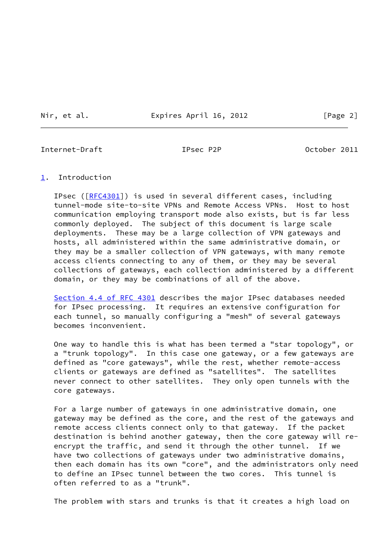Nir, et al. **Expires April 16, 2012** [Page 2]

<span id="page-2-1"></span>Internet-Draft **IPsec P2P** Detober 2011

### <span id="page-2-0"></span>[1](#page-2-0). Introduction

 IPsec ([\[RFC4301](https://datatracker.ietf.org/doc/pdf/rfc4301)]) is used in several different cases, including tunnel-mode site-to-site VPNs and Remote Access VPNs. Host to host communication employing transport mode also exists, but is far less commonly deployed. The subject of this document is large scale deployments. These may be a large collection of VPN gateways and hosts, all administered within the same administrative domain, or they may be a smaller collection of VPN gateways, with many remote access clients connecting to any of them, or they may be several collections of gateways, each collection administered by a different domain, or they may be combinations of all of the above.

 Section [4.4 of RFC 4301](https://datatracker.ietf.org/doc/pdf/rfc4301#section-4.4) describes the major IPsec databases needed for IPsec processing. It requires an extensive configuration for each tunnel, so manually configuring a "mesh" of several gateways becomes inconvenient.

 One way to handle this is what has been termed a "star topology", or a "trunk topology". In this case one gateway, or a few gateways are defined as "core gateways", while the rest, whether remote-access clients or gateways are defined as "satellites". The satellites never connect to other satellites. They only open tunnels with the core gateways.

 For a large number of gateways in one administrative domain, one gateway may be defined as the core, and the rest of the gateways and remote access clients connect only to that gateway. If the packet destination is behind another gateway, then the core gateway will re encrypt the traffic, and send it through the other tunnel. If we have two collections of gateways under two administrative domains, then each domain has its own "core", and the administrators only need to define an IPsec tunnel between the two cores. This tunnel is often referred to as a "trunk".

The problem with stars and trunks is that it creates a high load on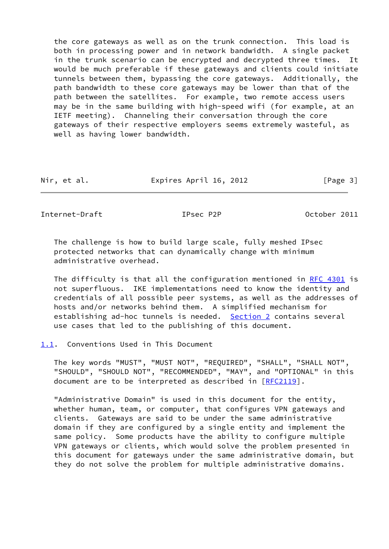the core gateways as well as on the trunk connection. This load is both in processing power and in network bandwidth. A single packet in the trunk scenario can be encrypted and decrypted three times. It would be much preferable if these gateways and clients could initiate tunnels between them, bypassing the core gateways. Additionally, the path bandwidth to these core gateways may be lower than that of the path between the satellites. For example, two remote access users may be in the same building with high-speed wifi (for example, at an IETF meeting). Channeling their conversation through the core gateways of their respective employers seems extremely wasteful, as well as having lower bandwidth.

| Nir, et al. | Expires April 16, 2012 | [Page 3] |
|-------------|------------------------|----------|
|             |                        |          |

<span id="page-3-1"></span>Internet-Draft IPsec P2P October 2011

 The challenge is how to build large scale, fully meshed IPsec protected networks that can dynamically change with minimum administrative overhead.

 The difficulty is that all the configuration mentioned in [RFC 4301](https://datatracker.ietf.org/doc/pdf/rfc4301) is not superfluous. IKE implementations need to know the identity and credentials of all possible peer systems, as well as the addresses of hosts and/or networks behind them. A simplified mechanism for establishing ad-hoc tunnels is needed. [Section 2](#page-4-0) contains several use cases that led to the publishing of this document.

<span id="page-3-0"></span>[1.1](#page-3-0). Conventions Used in This Document

 The key words "MUST", "MUST NOT", "REQUIRED", "SHALL", "SHALL NOT", "SHOULD", "SHOULD NOT", "RECOMMENDED", "MAY", and "OPTIONAL" in this document are to be interpreted as described in [\[RFC2119](https://datatracker.ietf.org/doc/pdf/rfc2119)].

 "Administrative Domain" is used in this document for the entity, whether human, team, or computer, that configures VPN gateways and clients. Gateways are said to be under the same administrative domain if they are configured by a single entity and implement the same policy. Some products have the ability to configure multiple VPN gateways or clients, which would solve the problem presented in this document for gateways under the same administrative domain, but they do not solve the problem for multiple administrative domains.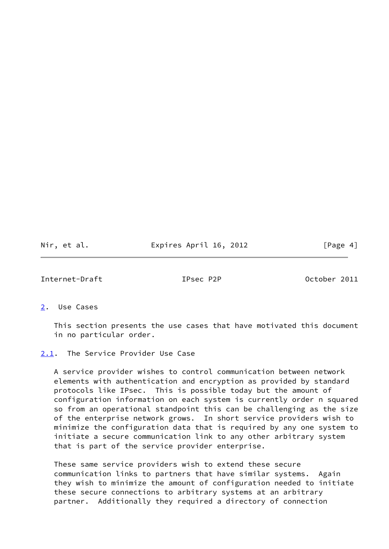Nir, et al. **Expires April 16, 2012** [Page 4]

<span id="page-4-1"></span>Internet-Draft IPsec P2P October 2011

<span id="page-4-0"></span>[2](#page-4-0). Use Cases

 This section presents the use cases that have motivated this document in no particular order.

<span id="page-4-2"></span>[2.1](#page-4-2). The Service Provider Use Case

 A service provider wishes to control communication between network elements with authentication and encryption as provided by standard protocols like IPsec. This is possible today but the amount of configuration information on each system is currently order n squared so from an operational standpoint this can be challenging as the size of the enterprise network grows. In short service providers wish to minimize the configuration data that is required by any one system to initiate a secure communication link to any other arbitrary system that is part of the service provider enterprise.

 These same service providers wish to extend these secure communication links to partners that have similar systems. Again they wish to minimize the amount of configuration needed to initiate these secure connections to arbitrary systems at an arbitrary partner. Additionally they required a directory of connection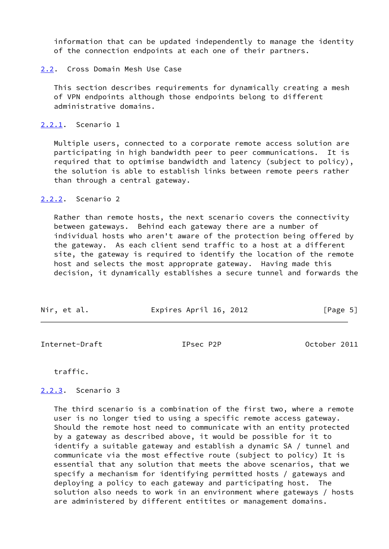information that can be updated independently to manage the identity of the connection endpoints at each one of their partners.

#### <span id="page-5-0"></span>[2.2](#page-5-0). Cross Domain Mesh Use Case

 This section describes requirements for dynamically creating a mesh of VPN endpoints although those endpoints belong to different administrative domains.

<span id="page-5-1"></span>[2.2.1](#page-5-1). Scenario 1

 Multiple users, connected to a corporate remote access solution are participating in high bandwidth peer to peer communications. It is required that to optimise bandwidth and latency (subject to policy), the solution is able to establish links between remote peers rather than through a central gateway.

## <span id="page-5-2"></span>[2.2.2](#page-5-2). Scenario 2

 Rather than remote hosts, the next scenario covers the connectivity between gateways. Behind each gateway there are a number of individual hosts who aren't aware of the protection being offered by the gateway. As each client send traffic to a host at a different site, the gateway is required to identify the location of the remote host and selects the most approprate gateway. Having made this decision, it dynamically establishes a secure tunnel and forwards the

| Nir, et al. | Expires April 16, 2012 | [Page 5] |
|-------------|------------------------|----------|
|-------------|------------------------|----------|

<span id="page-5-4"></span>Internet-Draft IPsec P2P October 2011

traffic.

## <span id="page-5-3"></span>[2.2.3](#page-5-3). Scenario 3

 The third scenario is a combination of the first two, where a remote user is no longer tied to using a specific remote access gateway. Should the remote host need to communicate with an entity protected by a gateway as described above, it would be possible for it to identify a suitable gateway and establish a dynamic SA / tunnel and communicate via the most effective route (subject to policy) It is essential that any solution that meets the above scenarios, that we specify a mechanism for identifying permitted hosts / gateways and deploying a policy to each gateway and participating host. The solution also needs to work in an environment where gateways / hosts are administered by different entitites or management domains.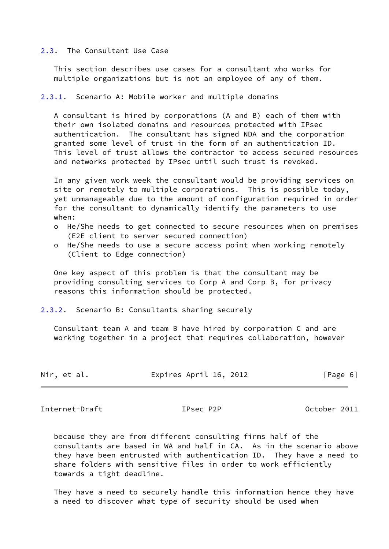#### <span id="page-6-0"></span>[2.3](#page-6-0). The Consultant Use Case

 This section describes use cases for a consultant who works for multiple organizations but is not an employee of any of them.

<span id="page-6-1"></span>[2.3.1](#page-6-1). Scenario A: Mobile worker and multiple domains

 A consultant is hired by corporations (A and B) each of them with their own isolated domains and resources protected with IPsec authentication. The consultant has signed NDA and the corporation granted some level of trust in the form of an authentication ID. This level of trust allows the contractor to access secured resources and networks protected by IPsec until such trust is revoked.

 In any given work week the consultant would be providing services on site or remotely to multiple corporations. This is possible today, yet unmanageable due to the amount of configuration required in order for the consultant to dynamically identify the parameters to use when:

- o He/She needs to get connected to secure resources when on premises (E2E client to server secured connection)
- o He/She needs to use a secure access point when working remotely (Client to Edge connection)

 One key aspect of this problem is that the consultant may be providing consulting services to Corp A and Corp B, for privacy reasons this information should be protected.

<span id="page-6-2"></span>[2.3.2](#page-6-2). Scenario B: Consultants sharing securely

 Consultant team A and team B have hired by corporation C and are working together in a project that requires collaboration, however

| Nir, et al. | Expires April 16, 2012 | [Page 6] |
|-------------|------------------------|----------|
|-------------|------------------------|----------|

Internet-Draft **IPsec P2P** October 2011

 because they are from different consulting firms half of the consultants are based in WA and half in CA. As in the scenario above they have been entrusted with authentication ID. They have a need to share folders with sensitive files in order to work efficiently towards a tight deadline.

 They have a need to securely handle this information hence they have a need to discover what type of security should be used when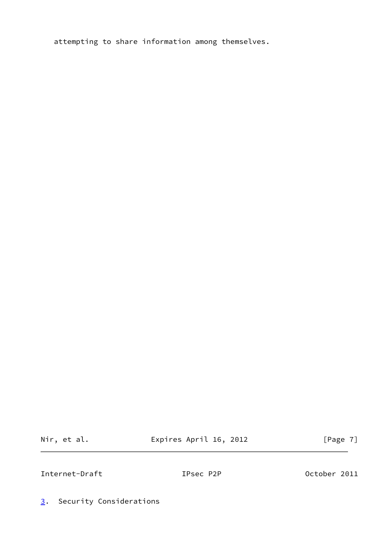attempting to share information among themselves.

Nir, et al. **Expires April 16, 2012** [Page 7]

<span id="page-7-1"></span>Internet-Draft **IPsec P2P** October 2011

<span id="page-7-0"></span>[3](#page-7-0). Security Considerations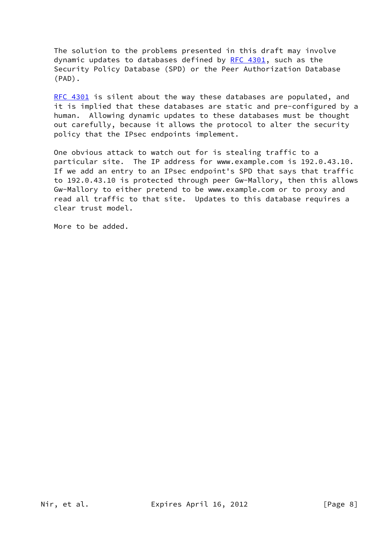The solution to the problems presented in this draft may involve dynamic updates to databases defined by  $RFC 4301$ , such as the Security Policy Database (SPD) or the Peer Authorization Database (PAD).

[RFC 4301](https://datatracker.ietf.org/doc/pdf/rfc4301) is silent about the way these databases are populated, and it is implied that these databases are static and pre-configured by a human. Allowing dynamic updates to these databases must be thought out carefully, because it allows the protocol to alter the security policy that the IPsec endpoints implement.

 One obvious attack to watch out for is stealing traffic to a particular site. The IP address for www.example.com is 192.0.43.10. If we add an entry to an IPsec endpoint's SPD that says that traffic to 192.0.43.10 is protected through peer Gw-Mallory, then this allows Gw-Mallory to either pretend to be www.example.com or to proxy and read all traffic to that site. Updates to this database requires a clear trust model.

More to be added.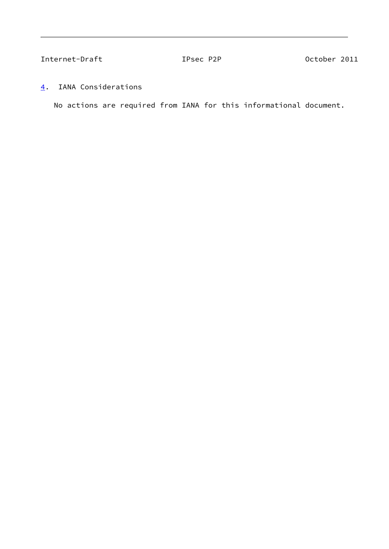<span id="page-9-1"></span>Internet-Draft **IPsec P2P** October 2011

<span id="page-9-0"></span>[4](#page-9-0). IANA Considerations

No actions are required from IANA for this informational document.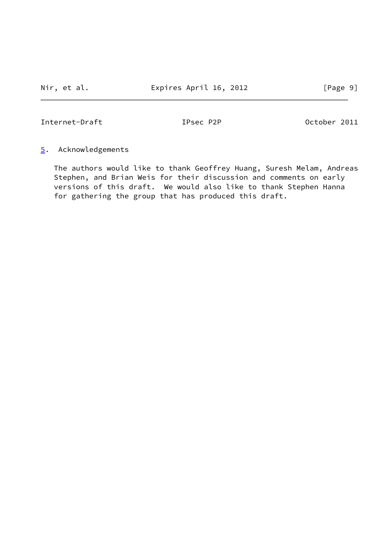<span id="page-10-1"></span>Internet-Draft IPsec P2P October 2011

## <span id="page-10-0"></span>[5](#page-10-0). Acknowledgements

 The authors would like to thank Geoffrey Huang, Suresh Melam, Andreas Stephen, and Brian Weis for their discussion and comments on early versions of this draft. We would also like to thank Stephen Hanna for gathering the group that has produced this draft.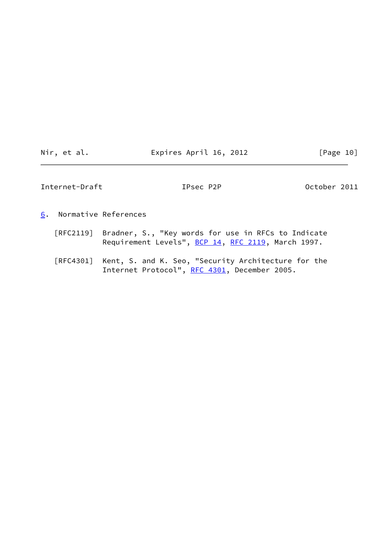| Nir |  | et al. |
|-----|--|--------|
|     |  |        |
|     |  |        |

Expires April 16, 2012 [Page 10]

<span id="page-11-1"></span>Internet-Draft **IPsec P2P** October 2011

<span id="page-11-0"></span>[6](#page-11-0). Normative References

- [RFC2119] Bradner, S., "Key words for use in RFCs to Indicate Requirement Levels", [BCP 14](https://datatracker.ietf.org/doc/pdf/bcp14), [RFC 2119](https://datatracker.ietf.org/doc/pdf/rfc2119), March 1997.
- [RFC4301] Kent, S. and K. Seo, "Security Architecture for the Internet Protocol", [RFC 4301,](https://datatracker.ietf.org/doc/pdf/rfc4301) December 2005.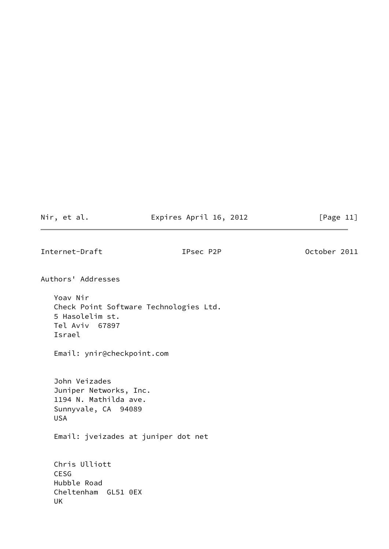# Nir, et al. **Expires April 16, 2012** [Page 11]

<span id="page-12-0"></span>Internet-Draft TPsec P2P Detober 2011

Authors' Addresses

 Yoav Nir Check Point Software Technologies Ltd. 5 Hasolelim st. Tel Aviv 67897 Israel

Email: ynir@checkpoint.com

 John Veizades Juniper Networks, Inc. 1194 N. Mathilda ave. Sunnyvale, CA 94089 USA

Email: jveizades at juniper dot net

 Chris Ulliott CESG Hubble Road Cheltenham GL51 0EX UK